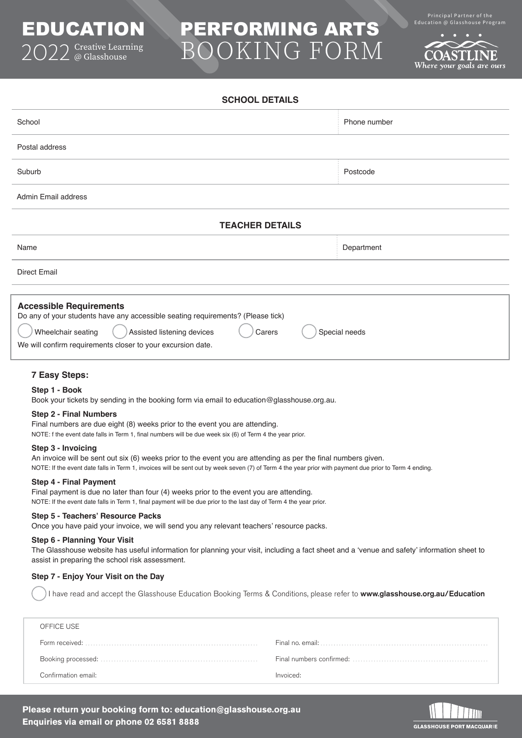# PERFORMING ARTS BOOKING FORM

**SCHOOL DETAILS**

Principal Partner of the<br>Education @ Glasshouse Program

OASTLINE Where your goals are ours

| <b>SUNUUL DE IAILS</b>                                                                                                                                                                                                                         |               |  |  |
|------------------------------------------------------------------------------------------------------------------------------------------------------------------------------------------------------------------------------------------------|---------------|--|--|
| School                                                                                                                                                                                                                                         | Phone number  |  |  |
| Postal address                                                                                                                                                                                                                                 |               |  |  |
| Suburb                                                                                                                                                                                                                                         | Postcode      |  |  |
| Admin Email address                                                                                                                                                                                                                            |               |  |  |
| <b>TEACHER DETAILS</b>                                                                                                                                                                                                                         |               |  |  |
| Name                                                                                                                                                                                                                                           | Department    |  |  |
| <b>Direct Email</b>                                                                                                                                                                                                                            |               |  |  |
| <b>Accessible Requirements</b><br>Do any of your students have any accessible seating requirements? (Please tick)<br>Assisted listening devices<br>Wheelchair seating<br>Carers<br>We will confirm requirements closer to your excursion date. | Special needs |  |  |
| <b>7 Easy Steps:</b><br>Step 1 - Book                                                                                                                                                                                                          |               |  |  |

Book your tickets by sending in the booking form via email to education@glasshouse.org.au.

#### **Step 2 - Final Numbers**

EDUCATION

2O22 Creative Learning @ Glasshouse

Final numbers are due eight (8) weeks prior to the event you are attending.

NOTE: f the event date falls in Term 1, final numbers will be due week six (6) of Term 4 the year prior.

#### **Step 3 - Invoicing**

An invoice will be sent out six (6) weeks prior to the event you are attending as per the final numbers given. NOTE: If the event date falls in Term 1, invoices will be sent out by week seven (7) of Term 4 the year prior with payment due prior to Term 4 ending.

#### **Step 4 - Final Payment**

Final payment is due no later than four (4) weeks prior to the event you are attending. NOTE: If the event date falls in Term 1, final payment will be due prior to the last day of Term 4 the year prior.

#### **Step 5 - Teachers' Resource Packs**

Once you have paid your invoice, we will send you any relevant teachers' resource packs.

#### **Step 6 - Planning Your Visit**

The Glasshouse website has useful information for planning your visit, including a fact sheet and a 'venue and safety' information sheet to assist in preparing the school risk assessment.

### **Step 7 - Enjoy Your Visit on the Day**

I have read and accept the Glasshouse Education Booking Terms & Conditions, please refer to [www.glasshouse.org.au/Education](https://www.glasshouse.org.au/Education/Education-the-Glasshouse)

| OFFICE USE                                                                                                                          |           |
|-------------------------------------------------------------------------------------------------------------------------------------|-----------|
| Form received: $\ldots$ $\ldots$ $\ldots$ $\ldots$ $\ldots$ $\ldots$ $\ldots$ $\ldots$ $\ldots$ $\ldots$ $\ldots$ $\ldots$ $\ldots$ |           |
|                                                                                                                                     |           |
| Confirmation email:                                                                                                                 | Invoiced: |